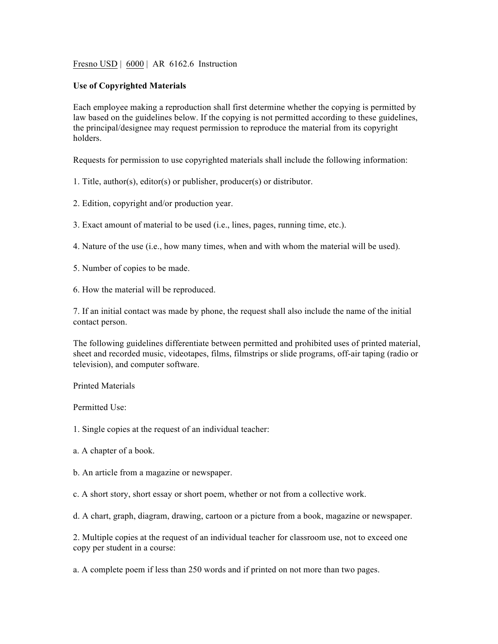Fresno USD | 6000 | AR 6162.6 Instruction

## **Use of Copyrighted Materials**

Each employee making a reproduction shall first determine whether the copying is permitted by law based on the guidelines below. If the copying is not permitted according to these guidelines, the principal/designee may request permission to reproduce the material from its copyright holders.

Requests for permission to use copyrighted materials shall include the following information:

1. Title, author(s), editor(s) or publisher, producer(s) or distributor.

2. Edition, copyright and/or production year.

3. Exact amount of material to be used (i.e., lines, pages, running time, etc.).

4. Nature of the use (i.e., how many times, when and with whom the material will be used).

5. Number of copies to be made.

6. How the material will be reproduced.

7. If an initial contact was made by phone, the request shall also include the name of the initial contact person.

The following guidelines differentiate between permitted and prohibited uses of printed material, sheet and recorded music, videotapes, films, filmstrips or slide programs, off-air taping (radio or television), and computer software.

Printed Materials

Permitted Use:

1. Single copies at the request of an individual teacher:

a. A chapter of a book.

b. An article from a magazine or newspaper.

c. A short story, short essay or short poem, whether or not from a collective work.

d. A chart, graph, diagram, drawing, cartoon or a picture from a book, magazine or newspaper.

2. Multiple copies at the request of an individual teacher for classroom use, not to exceed one copy per student in a course:

a. A complete poem if less than 250 words and if printed on not more than two pages.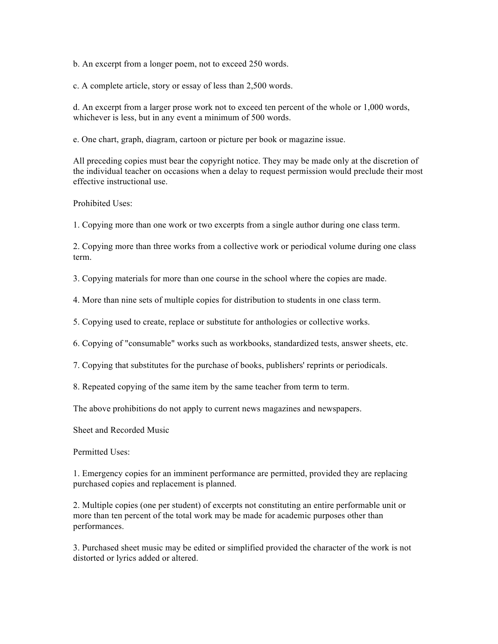b. An excerpt from a longer poem, not to exceed 250 words.

c. A complete article, story or essay of less than 2,500 words.

d. An excerpt from a larger prose work not to exceed ten percent of the whole or 1,000 words, whichever is less, but in any event a minimum of 500 words.

e. One chart, graph, diagram, cartoon or picture per book or magazine issue.

All preceding copies must bear the copyright notice. They may be made only at the discretion of the individual teacher on occasions when a delay to request permission would preclude their most effective instructional use.

Prohibited Uses:

1. Copying more than one work or two excerpts from a single author during one class term.

2. Copying more than three works from a collective work or periodical volume during one class term.

3. Copying materials for more than one course in the school where the copies are made.

4. More than nine sets of multiple copies for distribution to students in one class term.

5. Copying used to create, replace or substitute for anthologies or collective works.

6. Copying of "consumable" works such as workbooks, standardized tests, answer sheets, etc.

7. Copying that substitutes for the purchase of books, publishers' reprints or periodicals.

8. Repeated copying of the same item by the same teacher from term to term.

The above prohibitions do not apply to current news magazines and newspapers.

Sheet and Recorded Music

Permitted Uses:

1. Emergency copies for an imminent performance are permitted, provided they are replacing purchased copies and replacement is planned.

2. Multiple copies (one per student) of excerpts not constituting an entire performable unit or more than ten percent of the total work may be made for academic purposes other than performances.

3. Purchased sheet music may be edited or simplified provided the character of the work is not distorted or lyrics added or altered.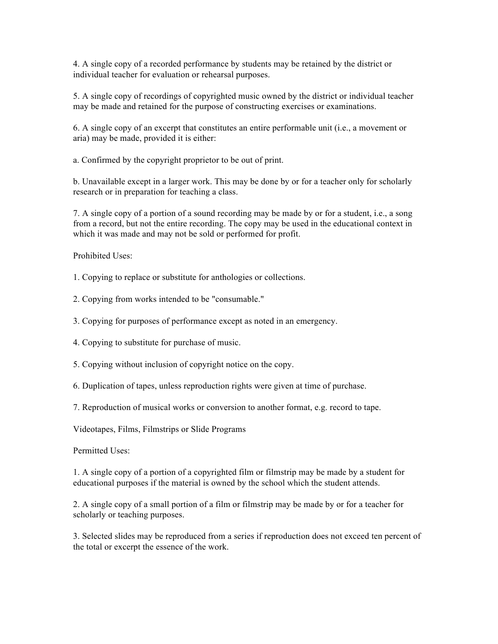4. A single copy of a recorded performance by students may be retained by the district or individual teacher for evaluation or rehearsal purposes.

5. A single copy of recordings of copyrighted music owned by the district or individual teacher may be made and retained for the purpose of constructing exercises or examinations.

6. A single copy of an excerpt that constitutes an entire performable unit (i.e., a movement or aria) may be made, provided it is either:

a. Confirmed by the copyright proprietor to be out of print.

b. Unavailable except in a larger work. This may be done by or for a teacher only for scholarly research or in preparation for teaching a class.

7. A single copy of a portion of a sound recording may be made by or for a student, i.e., a song from a record, but not the entire recording. The copy may be used in the educational context in which it was made and may not be sold or performed for profit.

Prohibited Uses:

1. Copying to replace or substitute for anthologies or collections.

2. Copying from works intended to be "consumable."

3. Copying for purposes of performance except as noted in an emergency.

4. Copying to substitute for purchase of music.

5. Copying without inclusion of copyright notice on the copy.

6. Duplication of tapes, unless reproduction rights were given at time of purchase.

7. Reproduction of musical works or conversion to another format, e.g. record to tape.

Videotapes, Films, Filmstrips or Slide Programs

Permitted Uses:

1. A single copy of a portion of a copyrighted film or filmstrip may be made by a student for educational purposes if the material is owned by the school which the student attends.

2. A single copy of a small portion of a film or filmstrip may be made by or for a teacher for scholarly or teaching purposes.

3. Selected slides may be reproduced from a series if reproduction does not exceed ten percent of the total or excerpt the essence of the work.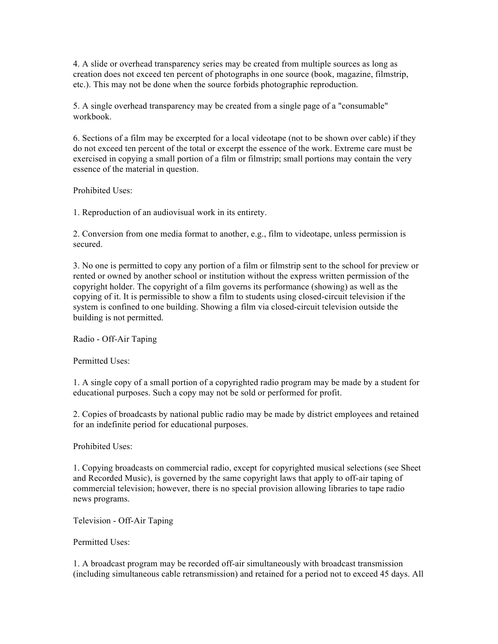4. A slide or overhead transparency series may be created from multiple sources as long as creation does not exceed ten percent of photographs in one source (book, magazine, filmstrip, etc.). This may not be done when the source forbids photographic reproduction.

5. A single overhead transparency may be created from a single page of a "consumable" workbook.

6. Sections of a film may be excerpted for a local videotape (not to be shown over cable) if they do not exceed ten percent of the total or excerpt the essence of the work. Extreme care must be exercised in copying a small portion of a film or filmstrip; small portions may contain the very essence of the material in question.

Prohibited Uses:

1. Reproduction of an audiovisual work in its entirety.

2. Conversion from one media format to another, e.g., film to videotape, unless permission is secured.

3. No one is permitted to copy any portion of a film or filmstrip sent to the school for preview or rented or owned by another school or institution without the express written permission of the copyright holder. The copyright of a film governs its performance (showing) as well as the copying of it. It is permissible to show a film to students using closed-circuit television if the system is confined to one building. Showing a film via closed-circuit television outside the building is not permitted.

Radio - Off-Air Taping

Permitted Uses:

1. A single copy of a small portion of a copyrighted radio program may be made by a student for educational purposes. Such a copy may not be sold or performed for profit.

2. Copies of broadcasts by national public radio may be made by district employees and retained for an indefinite period for educational purposes.

Prohibited Uses:

1. Copying broadcasts on commercial radio, except for copyrighted musical selections (see Sheet and Recorded Music), is governed by the same copyright laws that apply to off-air taping of commercial television; however, there is no special provision allowing libraries to tape radio news programs.

Television - Off-Air Taping

Permitted Uses:

1. A broadcast program may be recorded off-air simultaneously with broadcast transmission (including simultaneous cable retransmission) and retained for a period not to exceed 45 days. All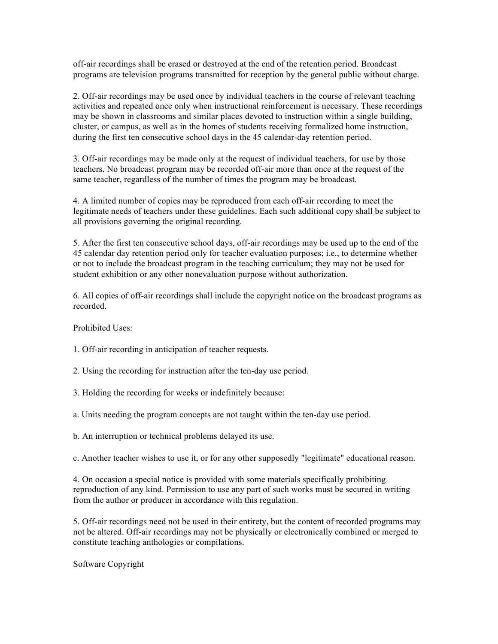off-air recordings shall be erased or destroyed at the end of the retention period. Broadcast programs are television programs transmitted for reception by the general public without charge.

2. Off-air recordings may be used once by individual teachers in the course of relevant teaching activities and repeated once only when instructional reinforcement is necessary. These recordings may be shown in classrooms and similar places devoted to instruction within a single building, cluster, or campus, as well as in the homes of students receiving formalized home instruction, during the first ten consecutive school days in the 45 calendar-day retention period.

3. Off-air recordings may be made only at the request of individual teachers, for use by those teachers. No broadcast program may be recorded off-air more than once at the request of the same teacher, regardless of the number of times the program may be broadcast.

4. A limited number of copies may be reproduced from each off-air recording to meet the legitimate needs of teachers under these guidelines. Each such additional copy shall be subject to all provisions governing the original recording.

5. After the first ten consecutive school days, off-air recordings may be used up to the end of the 45 calendar day retention period only for teacher evaluation purposes; i.e., to determine whether or not to include the broadcast program in the teaching curriculum; they may not be used for student exhibition or any other nonevaluation purpose without authorization.

6. All copies of off-air recordings shall include the copyright notice on the broadcast programs as recorded.

Prohibited Uses:

1. Off-air recording in anticipation of teacher requests.

2. Using the recording for instruction after the ten-day use period.

- 3. Holding the recording for weeks or indefinitely because:
- a. Units needing the program concepts are not taught within the ten-day use period.
- b. An interruption or technical problems delayed its use.

c. Another teacher wishes to use it, or for any other supposedly "legitimate" educational reason.

4. On occasion a special notice is provided with some materials specifically prohibiting reproduction of any kind. Permission to use any part of such works must be secured in writing from the author or producer in accordance with this regulation.

5. Off-air recordings need not be used in their entirety, but the content of recorded programs may not be altered. Off-air recordings may not be physically or electronically combined or merged to constitute teaching anthologies or compilations.

Software Copyright